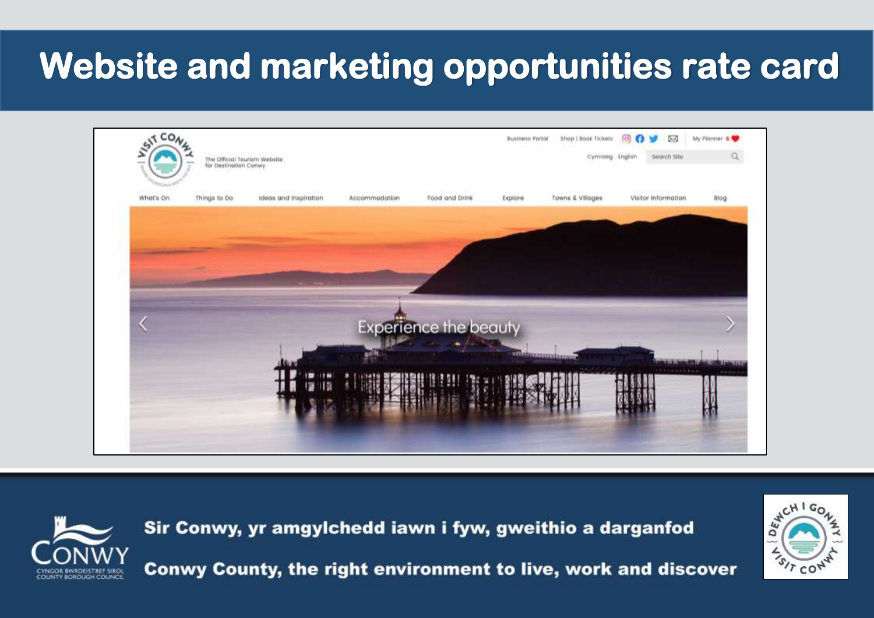# **Website and marketing opportunities rate card**





Sir Conwy, yr amgylchedd iawn i fyw, gweithio a darganfod Conwy County, the right environment to live, work and discover

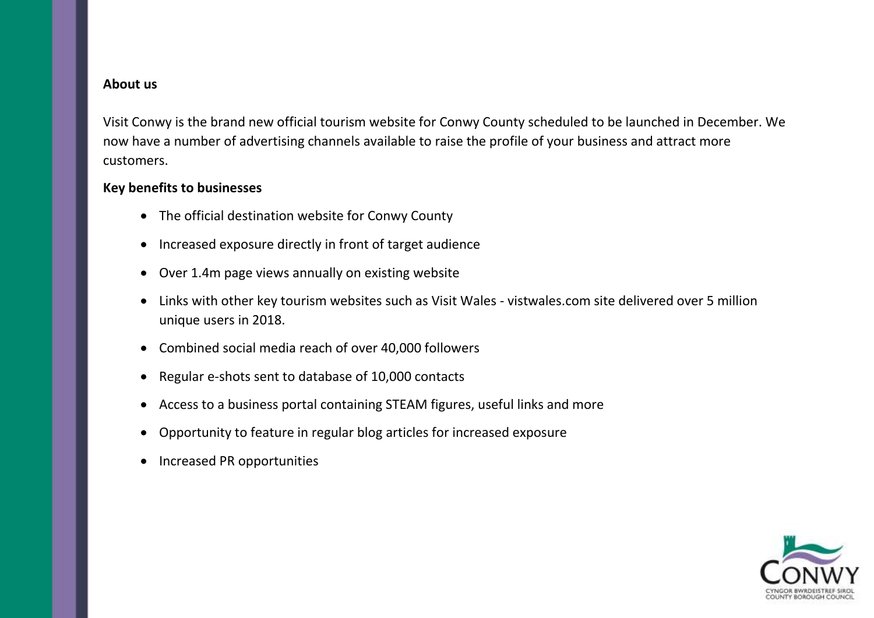#### **About us**

Visit Conwy is the brand new official tourism website for Conwy County scheduled to be launched in December. We now have a number of advertising channels available to raise the profile of your business and attract more customers.

### **Key benefits to businesses**

- The official destination website for Conwy County
- Increased exposure directly in front of target audience
- Over 1.4m page views annually on existing website
- Links with other key tourism websites such as Visit Wales vistwales.com site delivered over 5 million unique users in 2018.
- Combined social media reach of over 40,000 followers
- Regular e-shots sent to database of 10,000 contacts
- Access to a business portal containing STEAM figures, useful links and more
- Opportunity to feature in regular blog articles for increased exposure
- Increased PR opportunities

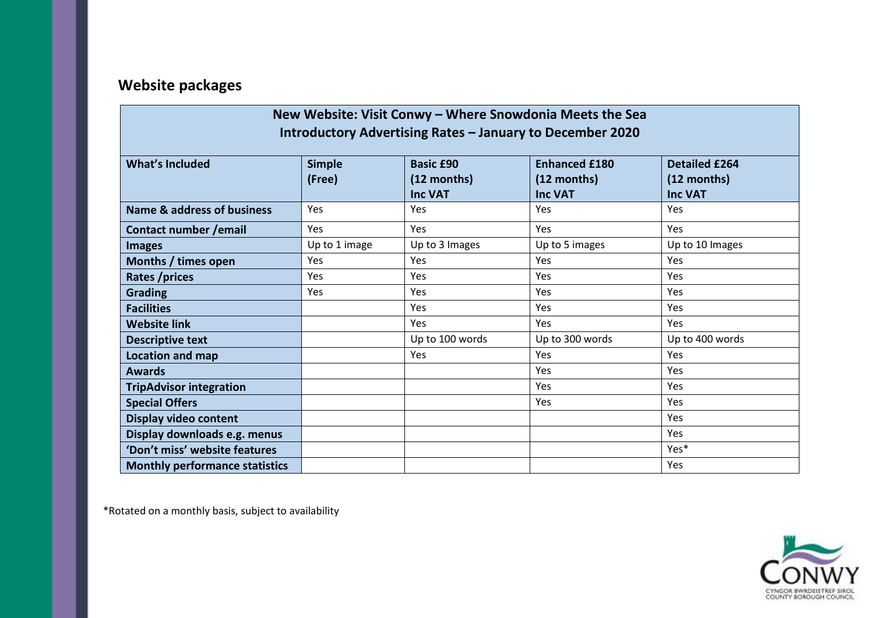## **Website packages**

| New Website: Visit Conwy - Where Snowdonia Meets the Sea<br>Introductory Advertising Rates – January to December 2020 |                         |                                                   |                                                       |                                                       |  |  |  |
|-----------------------------------------------------------------------------------------------------------------------|-------------------------|---------------------------------------------------|-------------------------------------------------------|-------------------------------------------------------|--|--|--|
| <b>What's Included</b>                                                                                                | <b>Simple</b><br>(Free) | <b>Basic £90</b><br>(12 months)<br><b>Inc VAT</b> | <b>Enhanced £180</b><br>(12 months)<br><b>Inc VAT</b> | <b>Detailed £264</b><br>(12 months)<br><b>Inc VAT</b> |  |  |  |
| <b>Name &amp; address of business</b>                                                                                 | Yes                     | Yes                                               | Yes                                                   | Yes                                                   |  |  |  |
| Contact number / email                                                                                                | Yes                     | Yes                                               | Yes                                                   | Yes                                                   |  |  |  |
| <b>Images</b>                                                                                                         | Up to 1 image           | Up to 3 Images                                    | Up to 5 images                                        | Up to 10 Images                                       |  |  |  |
| Months / times open                                                                                                   | Yes                     | Yes                                               | Yes                                                   | Yes                                                   |  |  |  |
| Rates /prices                                                                                                         | Yes                     | Yes                                               | Yes                                                   | <b>Yes</b>                                            |  |  |  |
| <b>Grading</b>                                                                                                        | Yes                     | Yes                                               | Yes                                                   | Yes                                                   |  |  |  |
| <b>Facilities</b>                                                                                                     |                         | Yes                                               | Yes                                                   | Yes                                                   |  |  |  |
| <b>Website link</b>                                                                                                   |                         | Yes                                               | Yes                                                   | <b>Yes</b>                                            |  |  |  |
| <b>Descriptive text</b>                                                                                               |                         | Up to 100 words                                   | Up to 300 words                                       | Up to 400 words                                       |  |  |  |
| <b>Location and map</b>                                                                                               |                         | Yes                                               | Yes                                                   | Yes                                                   |  |  |  |
| <b>Awards</b>                                                                                                         |                         |                                                   | Yes                                                   | Yes                                                   |  |  |  |
| <b>TripAdvisor integration</b>                                                                                        |                         |                                                   | Yes                                                   | Yes                                                   |  |  |  |
| <b>Special Offers</b>                                                                                                 |                         |                                                   | Yes                                                   | Yes                                                   |  |  |  |
| <b>Display video content</b>                                                                                          |                         |                                                   |                                                       | Yes                                                   |  |  |  |
| Display downloads e.g. menus                                                                                          |                         |                                                   |                                                       | Yes                                                   |  |  |  |
| 'Don't miss' website features                                                                                         |                         |                                                   |                                                       | Yes*                                                  |  |  |  |
| <b>Monthly performance statistics</b>                                                                                 |                         |                                                   |                                                       | Yes                                                   |  |  |  |

\*Rotated on a monthly basis, subject to availability